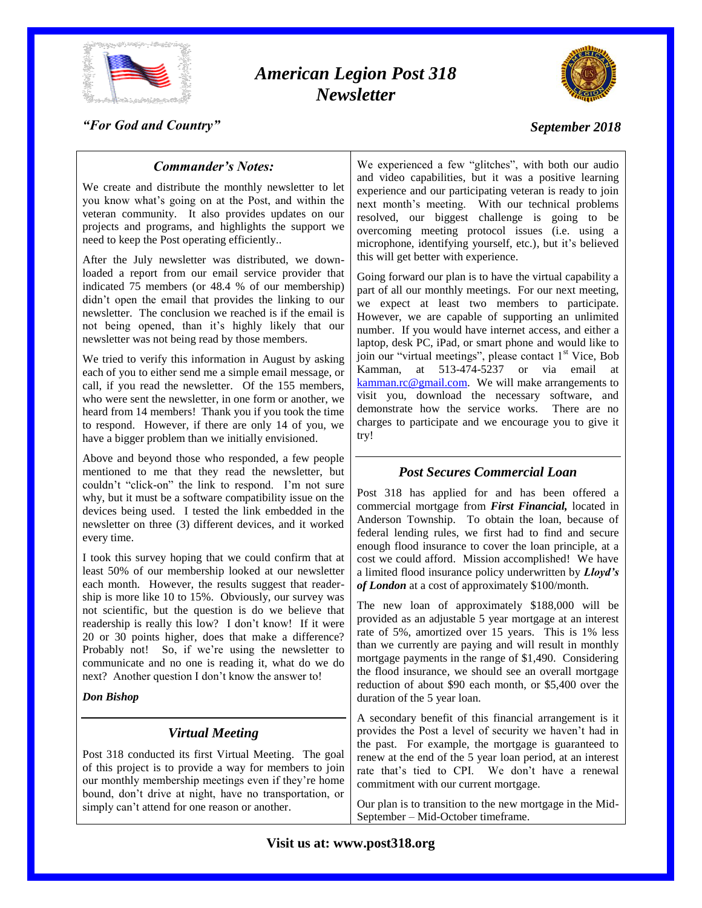

# *American Legion Post 318 Newsletter*



### *"For God and Country"*

### *September 2018*

### *Commander's Notes:*

We create and distribute the monthly newsletter to let you know what's going on at the Post, and within the veteran community. It also provides updates on our projects and programs, and highlights the support we need to keep the Post operating efficiently..

After the July newsletter was distributed, we downloaded a report from our email service provider that indicated 75 members (or 48.4 % of our membership) didn't open the email that provides the linking to our newsletter. The conclusion we reached is if the email is not being opened, than it's highly likely that our newsletter was not being read by those members.

We tried to verify this information in August by asking each of you to either send me a simple email message, or call, if you read the newsletter. Of the 155 members, who were sent the newsletter, in one form or another, we heard from 14 members! Thank you if you took the time to respond. However, if there are only 14 of you, we have a bigger problem than we initially envisioned.

Above and beyond those who responded, a few people mentioned to me that they read the newsletter, but couldn't "click-on" the link to respond. I'm not sure why, but it must be a software compatibility issue on the devices being used. I tested the link embedded in the newsletter on three (3) different devices, and it worked every time.

I took this survey hoping that we could confirm that at least 50% of our membership looked at our newsletter each month. However, the results suggest that readership is more like 10 to 15%. Obviously, our survey was not scientific, but the question is do we believe that readership is really this low? I don't know! If it were 20 or 30 points higher, does that make a difference? Probably not! So, if we're using the newsletter to communicate and no one is reading it, what do we do next? Another question I don't know the answer to!

*Don Bishop*

### *Virtual Meeting*

Post 318 conducted its first Virtual Meeting. The goal of this project is to provide a way for members to join our monthly membership meetings even if they're home bound, don't drive at night, have no transportation, or simply can't attend for one reason or another.

We experienced a few "glitches", with both our audio and video capabilities, but it was a positive learning experience and our participating veteran is ready to join next month's meeting. With our technical problems resolved, our biggest challenge is going to be overcoming meeting protocol issues (i.e. using a microphone, identifying yourself, etc.), but it's believed this will get better with experience.

Going forward our plan is to have the virtual capability a part of all our monthly meetings. For our next meeting, we expect at least two members to participate. However, we are capable of supporting an unlimited number. If you would have internet access, and either a laptop, desk PC, iPad, or smart phone and would like to join our "virtual meetings", please contact  $1<sup>st</sup>$  Vice, Bob Kamman, at 513-474-5237 or via email at [kamman.rc@gmail.com.](mailto:kamman.rc@gmail.com) We will make arrangements to visit you, download the necessary software, and demonstrate how the service works. There are no charges to participate and we encourage you to give it try!

### *Post Secures Commercial Loan*

Post 318 has applied for and has been offered a commercial mortgage from *First Financial,* located in Anderson Township. To obtain the loan, because of federal lending rules, we first had to find and secure enough flood insurance to cover the loan principle, at a cost we could afford. Mission accomplished! We have a limited flood insurance policy underwritten by *Lloyd's of London* at a cost of approximately \$100/month.

The new loan of approximately \$188,000 will be provided as an adjustable 5 year mortgage at an interest rate of 5%, amortized over 15 years. This is 1% less than we currently are paying and will result in monthly mortgage payments in the range of \$1,490. Considering the flood insurance, we should see an overall mortgage reduction of about \$90 each month, or \$5,400 over the duration of the 5 year loan.

A secondary benefit of this financial arrangement is it provides the Post a level of security we haven't had in the past. For example, the mortgage is guaranteed to renew at the end of the 5 year loan period, at an interest rate that's tied to CPI. We don't have a renewal commitment with our current mortgage.

Our plan is to transition to the new mortgage in the Mid-September – Mid-October timeframe.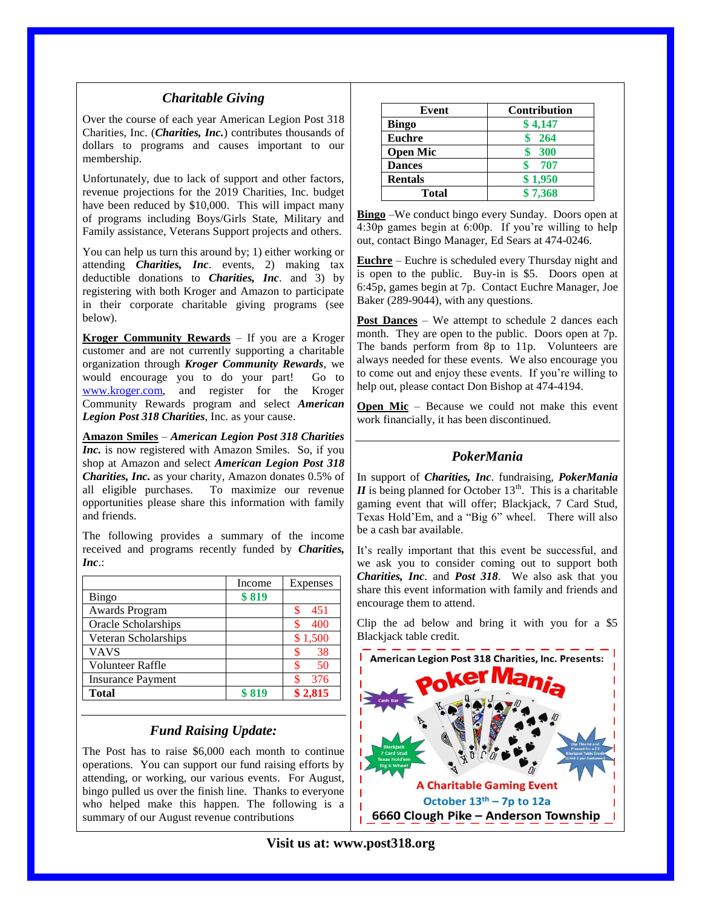### *Charitable Giving*

Over the course of each year American Legion Post 318 Charities, Inc. (*Charities, Inc.*) contributes thousands of dollars to programs and causes important to our membership.

Unfortunately, due to lack of support and other factors, revenue projections for the 2019 Charities, Inc. budget have been reduced by \$10,000. This will impact many of programs including Boys/Girls State, Military and Family assistance, Veterans Support projects and others.

You can help us turn this around by; 1) either working or attending *Charities, Inc*. events, 2) making tax deductible donations to *Charities, Inc*. and 3) by registering with both Kroger and Amazon to participate in their corporate charitable giving programs (see below).

**Kroger Community Rewards** – If you are a Kroger customer and are not currently supporting a charitable organization through *Kroger Community Rewards*, we would encourage you to do your part! Go to [www.kroger.com,](http://www.kroger.com/) and register for the Kroger Community Rewards program and select *American Legion Post 318 Charities*, Inc. as your cause.

**Amazon Smiles** – *American Legion Post 318 Charities Inc.* is now registered with Amazon Smiles. So, if you shop at Amazon and select *American Legion Post 318 Charities, Inc.* as your charity, Amazon donates 0.5% of all eligible purchases. To maximize our revenue opportunities please share this information with family and friends.

The following provides a summary of the income received and programs recently funded by *Charities, Inc*.:

|                          | Income | Expenses |
|--------------------------|--------|----------|
| Bingo                    | \$819  |          |
| Awards Program           |        | 451      |
| Oracle Scholarships      |        | 400      |
| Veteran Scholarships     |        | \$1,500  |
| <b>VAVS</b>              |        | 38       |
| Volunteer Raffle         |        | 50       |
| <b>Insurance Payment</b> |        | 376      |
| <b>Total</b>             | \$819  | \$2,815  |

### *Fund Raising Update:*

The Post has to raise \$6,000 each month to continue operations. You can support our fund raising efforts by attending, or working, our various events. For August, bingo pulled us over the finish line. Thanks to everyone who helped make this happen. The following is a summary of our August revenue contributions

| Event           | <b>Contribution</b> |  |
|-----------------|---------------------|--|
| <b>Bingo</b>    | \$4,147             |  |
| <b>Euchre</b>   | - 264               |  |
| <b>Open Mic</b> | 300                 |  |
| <b>Dances</b>   | - 707               |  |
| <b>Rentals</b>  | \$1,950             |  |
| Total           | \$7,368             |  |

**Bingo** –We conduct bingo every Sunday. Doors open at 4:30p games begin at 6:00p. If you're willing to help out, contact Bingo Manager, Ed Sears at 474-0246.

**Euchre** – Euchre is scheduled every Thursday night and is open to the public. Buy-in is \$5. Doors open at 6:45p, games begin at 7p. Contact Euchre Manager, Joe Baker (289-9044), with any questions.

**Post Dances** – We attempt to schedule 2 dances each month. They are open to the public. Doors open at 7p. The bands perform from 8p to 11p. Volunteers are always needed for these events. We also encourage you to come out and enjoy these events. If you're willing to help out, please contact Don Bishop at 474-4194.

**Open Mic** – Because we could not make this event work financially, it has been discontinued.

### *PokerMania*

In support of *Charities, Inc*. fundraising, *PokerMania*   $II$  is being planned for October 13<sup>th</sup>. This is a charitable gaming event that will offer; Blackjack, 7 Card Stud, Texas Hold'Em, and a "Big 6" wheel. There will also be a cash bar available.

It's really important that this event be successful, and we ask you to consider coming out to support both *Charities, Inc*. and *Post 318*. We also ask that you share this event information with family and friends and encourage them to attend.

Clip the ad below and bring it with you for a \$5 Blackjack table credit.



**Visit us at: www.post318.org**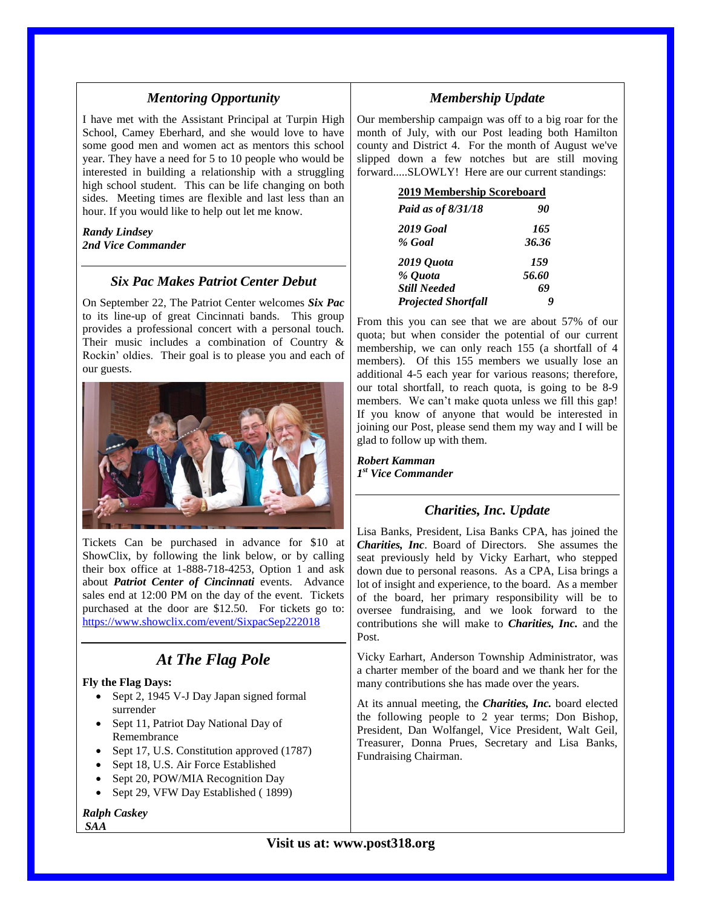### *Mentoring Opportunity*

I have met with the Assistant Principal at Turpin High School, Camey Eberhard, and she would love to have some good men and women act as mentors this school year. They have a need for 5 to 10 people who would be interested in building a relationship with a struggling high school student. This can be life changing on both sides. Meeting times are flexible and last less than an hour. If you would like to help out let me know.

#### *Randy Lindsey 2nd Vice Commander*

### *Six Pac Makes Patriot Center Debut*

On September 22, The Patriot Center welcomes *Six Pac* to its line-up of great Cincinnati bands. This group provides a professional concert with a personal touch. Their music includes a combination of Country & Rockin' oldies. Their goal is to please you and each of our guests.



Tickets Can be purchased in advance for \$10 at ShowClix, by following the link below, or by calling their box office at 1-888-718-4253, Option 1 and ask about *Patriot Center of Cincinnati* events. Advance sales end at 12:00 PM on the day of the event. Tickets purchased at the door are \$12.50. For tickets go to: <https://www.showclix.com/event/SixpacSep222018>

# *At The Flag Pole*

#### **Fly the Flag Days:**

- Sept 2, 1945 V-J Day Japan signed formal surrender
- Sept 11, Patriot Day National Day of Remembrance
- Sept 17, U.S. Constitution approved (1787)
- Sept 18, U.S. Air Force Established
- Sept 20, POW/MIA Recognition Day
- Sept 29, VFW Day Established (1899)

#### *Ralph Caskey SAA*

### *Membership Update*

Our membership campaign was off to a big roar for the month of July, with our Post leading both Hamilton county and District 4. For the month of August we've slipped down a few notches but are still moving forward.....SLOWLY! Here are our current standings:

#### **2019 Membership Scoreboard**

| Paid as of 8/31/18         | 90    |
|----------------------------|-------|
| <b>2019 Goal</b>           | 165   |
| % Goal                     | 36.36 |
| 2019 Quota                 | 159   |
| % Quota                    | 56.60 |
| <b>Still Needed</b>        | 69    |
| <b>Projected Shortfall</b> | Y     |

From this you can see that we are about 57% of our quota; but when consider the potential of our current membership, we can only reach 155 (a shortfall of 4 members). Of this 155 members we usually lose an additional 4-5 each year for various reasons; therefore, our total shortfall, to reach quota, is going to be 8-9 members. We can't make quota unless we fill this gap! If you know of anyone that would be interested in joining our Post, please send them my way and I will be glad to follow up with them.

*Robert Kamman 1 st Vice Commander*

### *Charities, Inc. Update*

Lisa Banks, President, Lisa Banks CPA, has joined the *Charities, Inc*. Board of Directors. She assumes the seat previously held by Vicky Earhart, who stepped down due to personal reasons. As a CPA, Lisa brings a lot of insight and experience, to the board. As a member of the board, her primary responsibility will be to oversee fundraising, and we look forward to the contributions she will make to *Charities, Inc.* and the Post.

Vicky Earhart, Anderson Township Administrator, was a charter member of the board and we thank her for the many contributions she has made over the years.

At its annual meeting, the *Charities, Inc.* board elected the following people to 2 year terms; Don Bishop, President, Dan Wolfangel, Vice President, Walt Geil, Treasurer, Donna Prues, Secretary and Lisa Banks, Fundraising Chairman.

**Visit us at: www.post318.org**